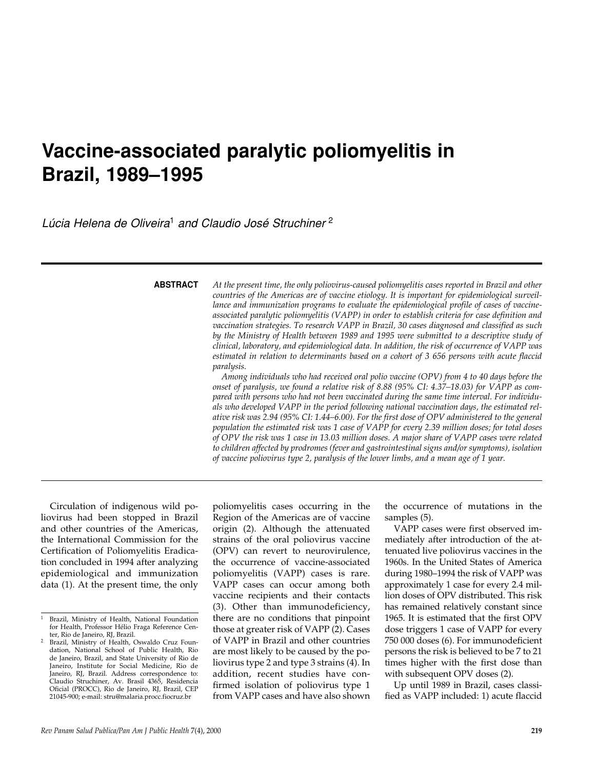# **Vaccine-associated paralytic poliomyelitis in Brazil, 1989–1995**

*Lúcia Helena de Oliveira*<sup>1</sup> *and Claudio José Struchiner* <sup>2</sup>

**ABSTRACT**

*At the present time, the only poliovirus-caused poliomyelitis cases reported in Brazil and other countries of the Americas are of vaccine etiology. It is important for epidemiological surveillance and immunization programs to evaluate the epidemiological profile of cases of vaccineassociated paralytic poliomyelitis (VAPP) in order to establish criteria for case definition and vaccination strategies. To research VAPP in Brazil, 30 cases diagnosed and classified as such by the Ministry of Health between 1989 and 1995 were submitted to a descriptive study of clinical, laboratory, and epidemiological data. In addition, the risk of occurrence of VAPP was estimated in relation to determinants based on a cohort of 3 656 persons with acute flaccid paralysis.*

*Among individuals who had received oral polio vaccine (OPV) from 4 to 40 days before the onset of paralysis, we found a relative risk of 8.88 (95% CI: 4.37–18.03) for VAPP as compared with persons who had not been vaccinated during the same time interval. For individuals who developed VAPP in the period following national vaccination days, the estimated relative risk was 2.94 (95% CI: 1.44–6.00). For the first dose of OPV administered to the general population the estimated risk was 1 case of VAPP for every 2.39 million doses; for total doses of OPV the risk was 1 case in 13.03 million doses. A major share of VAPP cases were related to children affected by prodromes (fever and gastrointestinal signs and/or symptoms), isolation of vaccine poliovirus type 2, paralysis of the lower limbs, and a mean age of 1 year.*

Circulation of indigenous wild poliovirus had been stopped in Brazil and other countries of the Americas, the International Commission for the Certification of Poliomyelitis Eradication concluded in 1994 after analyzing epidemiological and immunization data (1). At the present time, the only

poliomyelitis cases occurring in the Region of the Americas are of vaccine origin (2). Although the attenuated strains of the oral poliovirus vaccine (OPV) can revert to neurovirulence, the occurrence of vaccine-associated poliomyelitis (VAPP) cases is rare. VAPP cases can occur among both vaccine recipients and their contacts (3). Other than immunodeficiency, there are no conditions that pinpoint those at greater risk of VAPP (2). Cases of VAPP in Brazil and other countries are most likely to be caused by the poliovirus type 2 and type 3 strains (4). In addition, recent studies have confirmed isolation of poliovirus type 1 from VAPP cases and have also shown

the occurrence of mutations in the samples (5).

VAPP cases were first observed immediately after introduction of the attenuated live poliovirus vaccines in the 1960s. In the United States of America during 1980–1994 the risk of VAPP was approximately 1 case for every 2.4 million doses of OPV distributed. This risk has remained relatively constant since 1965. It is estimated that the first OPV dose triggers 1 case of VAPP for every 750 000 doses (6). For immunodeficient persons the risk is believed to be 7 to 21 times higher with the first dose than with subsequent OPV doses (2).

Up until 1989 in Brazil, cases classified as VAPP included: 1) acute flaccid

<sup>1</sup> Brazil, Ministry of Health, National Foundation for Health, Professor Hélio Fraga Reference Center, Rio de Janeiro, RJ, Brazil.

<sup>2</sup> Brazil, Ministry of Health, Oswaldo Cruz Foundation, National School of Public Health, Rio de Janeiro, Brazil, and State University of Rio de Janeiro, Institute for Social Medicine, Rio de Janeiro, RJ, Brazil. Address correspondence to: Claudio Struchiner, Av. Brasil 4365, Residencia Oficial (PROCC), Rio de Janeiro, RJ, Brazil, CEP 21045-900; e-mail: stru@malaria.procc.fiocruz.br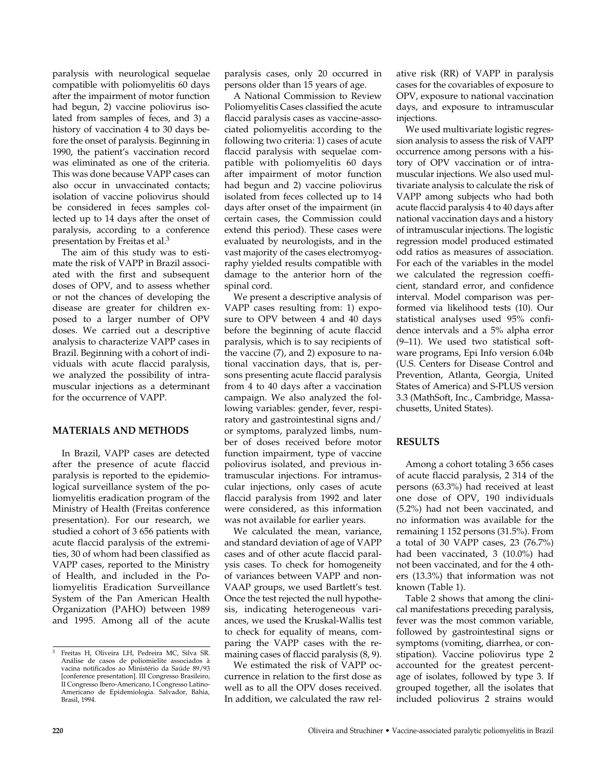paralysis with neurological sequelae compatible with poliomyelitis 60 days after the impairment of motor function had begun, 2) vaccine poliovirus isolated from samples of feces, and 3) a history of vaccination 4 to 30 days before the onset of paralysis. Beginning in 1990, the patient's vaccination record was eliminated as one of the criteria. This was done because VAPP cases can also occur in unvaccinated contacts; isolation of vaccine poliovirus should be considered in feces samples collected up to 14 days after the onset of paralysis, according to a conference presentation by Freitas et al.3

The aim of this study was to estimate the risk of VAPP in Brazil associated with the first and subsequent doses of OPV, and to assess whether or not the chances of developing the disease are greater for children exposed to a larger number of OPV doses. We carried out a descriptive analysis to characterize VAPP cases in Brazil. Beginning with a cohort of individuals with acute flaccid paralysis, we analyzed the possibility of intramuscular injections as a determinant for the occurrence of VAPP.

#### **MATERIALS AND METHODS**

In Brazil, VAPP cases are detected after the presence of acute flaccid paralysis is reported to the epidemiological surveillance system of the poliomyelitis eradication program of the Ministry of Health (Freitas conference presentation). For our research, we studied a cohort of 3 656 patients with acute flaccid paralysis of the extremities, 30 of whom had been classified as VAPP cases, reported to the Ministry of Health, and included in the Poliomyelitis Eradication Surveillance System of the Pan American Health Organization (PAHO) between 1989 and 1995. Among all of the acute

paralysis cases, only 20 occurred in persons older than 15 years of age.

A National Commission to Review Poliomyelitis Cases classified the acute flaccid paralysis cases as vaccine-associated poliomyelitis according to the following two criteria: 1) cases of acute flaccid paralysis with sequelae compatible with poliomyelitis 60 days after impairment of motor function had begun and 2) vaccine poliovirus isolated from feces collected up to 14 days after onset of the impairment (in certain cases, the Commission could extend this period). These cases were evaluated by neurologists, and in the vast majority of the cases electromyography yielded results compatible with damage to the anterior horn of the spinal cord.

We present a descriptive analysis of VAPP cases resulting from: 1) exposure to OPV between 4 and 40 days before the beginning of acute flaccid paralysis, which is to say recipients of the vaccine (7), and 2) exposure to national vaccination days, that is, persons presenting acute flaccid paralysis from 4 to 40 days after a vaccination campaign. We also analyzed the following variables: gender, fever, respiratory and gastrointestinal signs and/ or symptoms, paralyzed limbs, number of doses received before motor function impairment, type of vaccine poliovirus isolated, and previous intramuscular injections. For intramuscular injections, only cases of acute flaccid paralysis from 1992 and later were considered, as this information was not available for earlier years.

We calculated the mean, variance, and standard deviation of age of VAPP cases and of other acute flaccid paralysis cases. To check for homogeneity of variances between VAPP and non-VAAP groups, we used Bartlett's test. Once the test rejected the null hypothesis, indicating heterogeneous variances, we used the Kruskal-Wallis test to check for equality of means, comparing the VAPP cases with the remaining cases of flaccid paralysis (8, 9).

We estimated the risk of VAPP occurrence in relation to the first dose as well as to all the OPV doses received. In addition, we calculated the raw relative risk (RR) of VAPP in paralysis cases for the covariables of exposure to OPV, exposure to national vaccination days, and exposure to intramuscular injections.

We used multivariate logistic regression analysis to assess the risk of VAPP occurrence among persons with a history of OPV vaccination or of intramuscular injections. We also used multivariate analysis to calculate the risk of VAPP among subjects who had both acute flaccid paralysis 4 to 40 days after national vaccination days and a history of intramuscular injections. The logistic regression model produced estimated odd ratios as measures of association. For each of the variables in the model we calculated the regression coefficient, standard error, and confidence interval. Model comparison was performed via likelihood tests (10). Our statistical analyses used 95% confidence intervals and a 5% alpha error (9–11). We used two statistical software programs, Epi Info version 6.04b (U.S. Centers for Disease Control and Prevention, Atlanta, Georgia, United States of America) and S-PLUS version 3.3 (MathSoft, Inc., Cambridge, Massachusetts, United States).

### **RESULTS**

Among a cohort totaling 3 656 cases of acute flaccid paralysis, 2 314 of the persons (63.3%) had received at least one dose of OPV, 190 individuals (5.2%) had not been vaccinated, and no information was available for the remaining 1 152 persons (31.5%). From a total of 30 VAPP cases, 23 (76.7%) had been vaccinated, 3 (10.0%) had not been vaccinated, and for the 4 others (13.3%) that information was not known (Table 1).

Table 2 shows that among the clinical manifestations preceding paralysis, fever was the most common variable, followed by gastrointestinal signs or symptoms (vomiting, diarrhea, or constipation). Vaccine poliovirus type 2 accounted for the greatest percentage of isolates, followed by type 3. If grouped together, all the isolates that included poliovirus 2 strains would

<sup>3</sup> Freitas H, Oliveira LH, Pedreira MC, Silva SR. Análise de casos de poliomielite associados à vacina notificados ao Ministério da Saúde 89/93 [conference presentation]. III Congresso Brasileiro, II Congresso Ibero-Americano, I Congresso Latino-Americano de Epidemiologia. Salvador, Bahia, Brasil, 1994.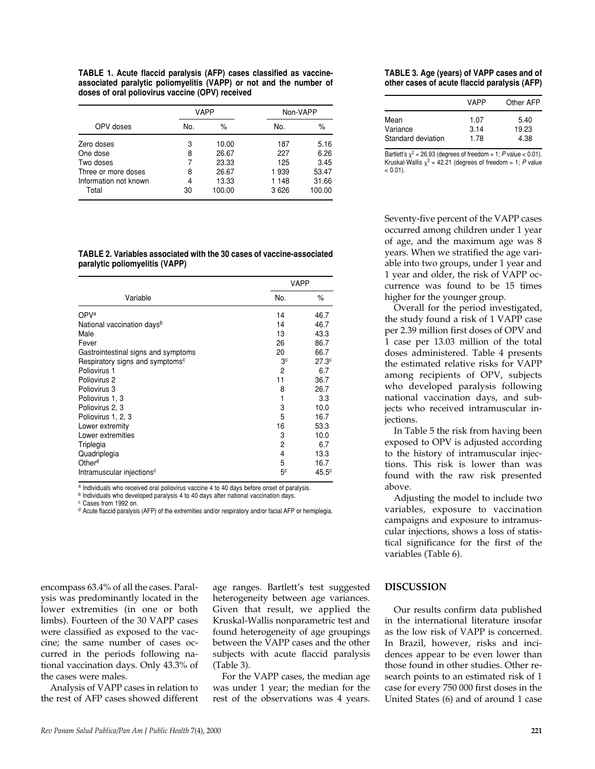**TABLE 1. Acute flaccid paralysis (AFP) cases classified as vaccineassociated paralytic poliomyelitis (VAPP) or not and the number of doses of oral poliovirus vaccine (OPV) received**

|                       | <b>VAPP</b> |        |         | Non-VAPP |  |
|-----------------------|-------------|--------|---------|----------|--|
| OPV doses             | No.         | $\%$   | No.     | $\%$     |  |
| Zero doses            | 3           | 10.00  | 187     | 5.16     |  |
| One dose              | 8           | 26.67  | 227     | 6.26     |  |
| Two doses             | 7           | 23.33  | 125     | 3.45     |  |
| Three or more doses   | 8           | 26.67  | 1939    | 53.47    |  |
| Information not known | 4           | 13.33  | 1 148   | 31.66    |  |
| Total                 | 30          | 100.00 | 3 6 2 6 | 100.00   |  |

**TABLE 2. Variables associated with the 30 cases of vaccine-associated paralytic poliomyelitis (VAPP)**

|                                             | VAPP           |                   |
|---------------------------------------------|----------------|-------------------|
| Variable                                    | No.            | %                 |
| OPVa                                        | 14             | 46.7              |
| National vaccination days <sup>b</sup>      | 14             | 46.7              |
| Male                                        | 13             | 43.3              |
| Fever                                       | 26             | 86.7              |
| Gastrointestinal signs and symptoms         | 20             | 66.7              |
| Respiratory signs and symptoms <sup>c</sup> | 3c             | 27.3 <sup>c</sup> |
| Poliovirus 1                                | 2              | 6.7               |
| Poliovirus 2                                | 11             | 36.7              |
| Poliovirus 3                                | 8              | 26.7              |
| Poliovirus 1, 3                             | 1              | 3.3               |
| Poliovirus 2, 3                             | 3              | 10.0              |
| Poliovirus 1, 2, 3                          | 5              | 16.7              |
| Lower extremity                             | 16             | 53.3              |
| Lower extremities                           | 3              | 10.0              |
| Triplegia                                   | 2              | 6.7               |
| Quadriplegia                                | 4              | 13.3              |
| Other <sup>d</sup>                          | 5              | 16.7              |
| Intramuscular injections <sup>c</sup>       | 5 <sup>c</sup> | 45.5c             |

a Individuals who received oral poliovirus vaccine 4 to 40 days before onset of paralysis.

**b** Individuals who developed paralysis 4 to 40 days after national vaccination days.

<sup>c</sup> Cases from 1992 on.

<sup>d</sup> Acute flaccid paralysis (AFP) of the extremities and/or respiratory and/or facial AFP or hemiplegia.

encompass 63.4% of all the cases. Paralysis was predominantly located in the lower extremities (in one or both limbs). Fourteen of the 30 VAPP cases were classified as exposed to the vaccine; the same number of cases occurred in the periods following national vaccination days. Only 43.3% of the cases were males.

Analysis of VAPP cases in relation to the rest of AFP cases showed different

age ranges. Bartlett's test suggested heterogeneity between age variances. Given that result, we applied the Kruskal-Wallis nonparametric test and found heterogeneity of age groupings between the VAPP cases and the other subjects with acute flaccid paralysis (Table 3).

For the VAPP cases, the median age was under 1 year; the median for the rest of the observations was 4 years.

#### **TABLE 3. Age (years) of VAPP cases and of other cases of acute flaccid paralysis (AFP)**

|                    | VAPP | Other AFP |
|--------------------|------|-----------|
| Mean               | 1.07 | 5.40      |
| Variance           | 3.14 | 19.23     |
| Standard deviation | 1.78 | 4.38      |

Bartlett's  $\chi^2$  = 26.93 (degrees of freedom = 1; *P* value < 0.01). Kruskal-Wallis  $\chi^2$  = 42.21 (degrees of freedom = 1; *P* value  $< 0.01$ ).

Seventy-five percent of the VAPP cases occurred among children under 1 year of age, and the maximum age was 8 years. When we stratified the age variable into two groups, under 1 year and 1 year and older, the risk of VAPP occurrence was found to be 15 times higher for the younger group.

Overall for the period investigated, the study found a risk of 1 VAPP case per 2.39 million first doses of OPV and 1 case per 13.03 million of the total doses administered. Table 4 presents the estimated relative risks for VAPP among recipients of OPV, subjects who developed paralysis following national vaccination days, and subjects who received intramuscular injections.

In Table 5 the risk from having been exposed to OPV is adjusted according to the history of intramuscular injections. This risk is lower than was found with the raw risk presented above.

Adjusting the model to include two variables, exposure to vaccination campaigns and exposure to intramuscular injections, shows a loss of statistical significance for the first of the variables (Table 6).

#### **DISCUSSION**

Our results confirm data published in the international literature insofar as the low risk of VAPP is concerned. In Brazil, however, risks and incidences appear to be even lower than those found in other studies. Other research points to an estimated risk of 1 case for every 750 000 first doses in the United States (6) and of around 1 case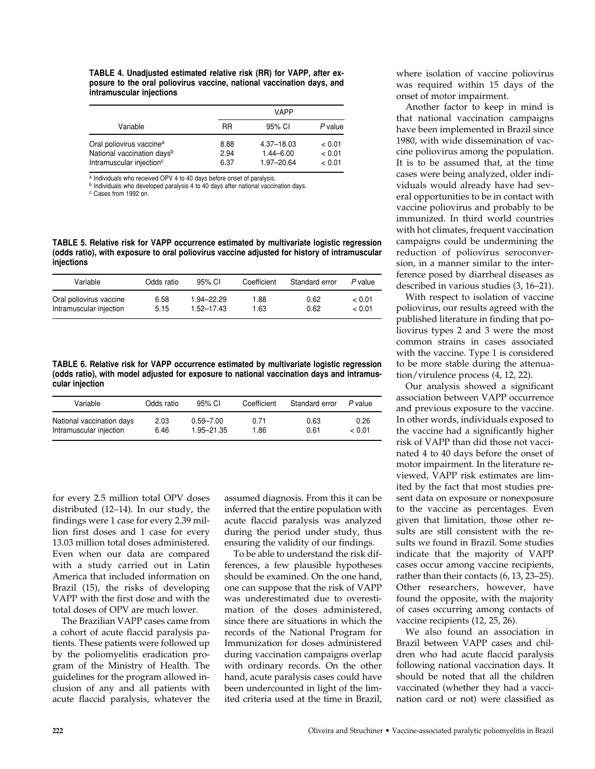**TABLE 4. Unadjusted estimated relative risk (RR) for VAPP, after exposure to the oral poliovirus vaccine, national vaccination days, and intramuscular injections**

|                                                                                                                        | <b>VAPP</b>          |                                           |                            |  |
|------------------------------------------------------------------------------------------------------------------------|----------------------|-------------------------------------------|----------------------------|--|
| Variable                                                                                                               | RR                   | 95% CI                                    | P value                    |  |
| Oral poliovirus vaccine <sup>a</sup><br>National vaccination days <sup>b</sup><br>Intramuscular injection <sup>c</sup> | 8.88<br>2.94<br>6.37 | 4.37-18.03<br>$1.44 - 6.00$<br>1.97-20.64 | < 0.01<br>< 0.01<br>< 0.01 |  |

a Individuals who received OPV 4 to 40 days before onset of paralysis.

**b** Individuals who developed paralysis 4 to 40 days after national vaccination days.

<sup>c</sup> Cases from 1992 on.

**TABLE 5. Relative risk for VAPP occurrence estimated by multivariate logistic regression (odds ratio), with exposure to oral poliovirus vaccine adjusted for history of intramuscular injections**

| Variable                | Odds ratio | $95%$ CL       | Coefficient | Standard error | P value |
|-------------------------|------------|----------------|-------------|----------------|---------|
| Oral poliovirus vaccine | 6.58       | 1.94-22.29     | 1.88        | 0.62           | < 0.01  |
| Intramuscular injection | 5.15       | $1.52 - 17.43$ | 1.63        | 0.62           | < 0.01  |

**TABLE 6. Relative risk for VAPP occurrence estimated by multivariate logistic regression (odds ratio), with model adjusted for exposure to national vaccination days and intramuscular injection**

| Variable                  | Odds ratio | $95%$ CL      | Coefficient | Standard error | P value |
|---------------------------|------------|---------------|-------------|----------------|---------|
| National vaccination days | 2.03       | $0.59 - 7.00$ | 0.71        | 0.63           | 0.26    |
| Intramuscular injection   | 6.46       | 1.95-21.35    | 1.86        | 0.61           | < 0.01  |

for every 2.5 million total OPV doses distributed (12–14). In our study, the findings were 1 case for every 2.39 million first doses and 1 case for every 13.03 million total doses administered. Even when our data are compared with a study carried out in Latin America that included information on Brazil (15), the risks of developing VAPP with the first dose and with the total doses of OPV are much lower.

The Brazilian VAPP cases came from a cohort of acute flaccid paralysis patients. These patients were followed up by the poliomyelitis eradication program of the Ministry of Health. The guidelines for the program allowed inclusion of any and all patients with acute flaccid paralysis, whatever the assumed diagnosis. From this it can be inferred that the entire population with acute flaccid paralysis was analyzed during the period under study, thus ensuring the validity of our findings.

To be able to understand the risk differences, a few plausible hypotheses should be examined. On the one hand, one can suppose that the risk of VAPP was underestimated due to overestimation of the doses administered, since there are situations in which the records of the National Program for Immunization for doses administered during vaccination campaigns overlap with ordinary records. On the other hand, acute paralysis cases could have been undercounted in light of the limited criteria used at the time in Brazil, where isolation of vaccine poliovirus was required within 15 days of the onset of motor impairment.

Another factor to keep in mind is that national vaccination campaigns have been implemented in Brazil since 1980, with wide dissemination of vaccine poliovirus among the population. It is to be assumed that, at the time cases were being analyzed, older individuals would already have had several opportunities to be in contact with vaccine poliovirus and probably to be immunized. In third world countries with hot climates, frequent vaccination campaigns could be undermining the reduction of poliovirus seroconversion, in a manner similar to the interference posed by diarrheal diseases as described in various studies (3, 16–21).

With respect to isolation of vaccine poliovirus, our results agreed with the published literature in finding that poliovirus types 2 and 3 were the most common strains in cases associated with the vaccine. Type 1 is considered to be more stable during the attenuation/virulence process (4, 12, 22).

Our analysis showed a significant association between VAPP occurrence and previous exposure to the vaccine. In other words, individuals exposed to the vaccine had a significantly higher risk of VAPP than did those not vaccinated 4 to 40 days before the onset of motor impairment. In the literature reviewed, VAPP risk estimates are limited by the fact that most studies present data on exposure or nonexposure to the vaccine as percentages. Even given that limitation, those other results are still consistent with the results we found in Brazil. Some studies indicate that the majority of VAPP cases occur among vaccine recipients, rather than their contacts (6, 13, 23–25). Other researchers, however, have found the opposite, with the majority of cases occurring among contacts of vaccine recipients (12, 25, 26).

We also found an association in Brazil between VAPP cases and children who had acute flaccid paralysis following national vaccination days. It should be noted that all the children vaccinated (whether they had a vaccination card or not) were classified as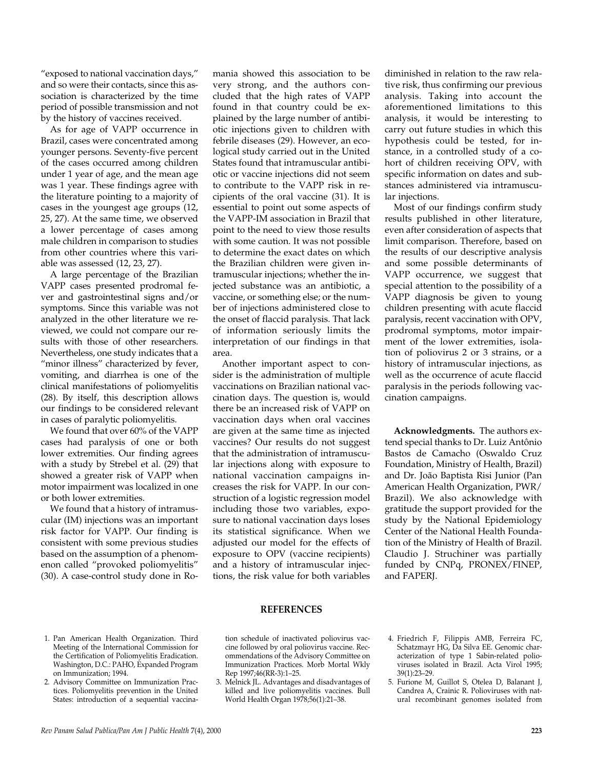"exposed to national vaccination days," and so were their contacts, since this association is characterized by the time period of possible transmission and not by the history of vaccines received.

As for age of VAPP occurrence in Brazil, cases were concentrated among younger persons. Seventy-five percent of the cases occurred among children under 1 year of age, and the mean age was 1 year. These findings agree with the literature pointing to a majority of cases in the youngest age groups (12, 25, 27). At the same time, we observed a lower percentage of cases among male children in comparison to studies from other countries where this variable was assessed (12, 23, 27).

A large percentage of the Brazilian VAPP cases presented prodromal fever and gastrointestinal signs and/or symptoms. Since this variable was not analyzed in the other literature we reviewed, we could not compare our results with those of other researchers. Nevertheless, one study indicates that a "minor illness" characterized by fever, vomiting, and diarrhea is one of the clinical manifestations of poliomyelitis (28). By itself, this description allows our findings to be considered relevant in cases of paralytic poliomyelitis.

We found that over 60% of the VAPP cases had paralysis of one or both lower extremities. Our finding agrees with a study by Strebel et al. (29) that showed a greater risk of VAPP when motor impairment was localized in one or both lower extremities.

We found that a history of intramuscular (IM) injections was an important risk factor for VAPP. Our finding is consistent with some previous studies based on the assumption of a phenomenon called "provoked poliomyelitis" (30). A case-control study done in Ro-

mania showed this association to be very strong, and the authors concluded that the high rates of VAPP found in that country could be explained by the large number of antibiotic injections given to children with febrile diseases (29). However, an ecological study carried out in the United States found that intramuscular antibiotic or vaccine injections did not seem to contribute to the VAPP risk in recipients of the oral vaccine (31). It is essential to point out some aspects of the VAPP-IM association in Brazil that point to the need to view those results with some caution. It was not possible to determine the exact dates on which the Brazilian children were given intramuscular injections; whether the injected substance was an antibiotic, a vaccine, or something else; or the number of injections administered close to the onset of flaccid paralysis. That lack of information seriously limits the interpretation of our findings in that area.

Another important aspect to consider is the administration of multiple vaccinations on Brazilian national vaccination days. The question is, would there be an increased risk of VAPP on vaccination days when oral vaccines are given at the same time as injected vaccines? Our results do not suggest that the administration of intramuscular injections along with exposure to national vaccination campaigns increases the risk for VAPP. In our construction of a logistic regression model including those two variables, exposure to national vaccination days loses its statistical significance. When we adjusted our model for the effects of exposure to OPV (vaccine recipients) and a history of intramuscular injections, the risk value for both variables

diminished in relation to the raw relative risk, thus confirming our previous analysis. Taking into account the aforementioned limitations to this analysis, it would be interesting to carry out future studies in which this hypothesis could be tested, for instance, in a controlled study of a cohort of children receiving OPV, with specific information on dates and substances administered via intramuscular injections.

Most of our findings confirm study results published in other literature, even after consideration of aspects that limit comparison. Therefore, based on the results of our descriptive analysis and some possible determinants of VAPP occurrence, we suggest that special attention to the possibility of a VAPP diagnosis be given to young children presenting with acute flaccid paralysis, recent vaccination with OPV, prodromal symptoms, motor impairment of the lower extremities, isolation of poliovirus 2 or 3 strains, or a history of intramuscular injections, as well as the occurrence of acute flaccid paralysis in the periods following vaccination campaigns.

**Acknowledgments.** The authors extend special thanks to Dr. Luiz Antônio Bastos de Camacho (Oswaldo Cruz Foundation, Ministry of Health, Brazil) and Dr. João Baptista Risi Junior (Pan American Health Organization, PWR/ Brazil). We also acknowledge with gratitude the support provided for the study by the National Epidemiology Center of the National Health Foundation of the Ministry of Health of Brazil. Claudio J. Struchiner was partially funded by CNPq, PRONEX/FINEP, and FAPERJ.

#### **REFERENCES**

- 1. Pan American Health Organization. Third Meeting of the International Commission for the Certification of Poliomyelitis Eradication. Washington, D.C.: PAHO, Expanded Program on Immunization; 1994.
- 2. Advisory Committee on Immunization Practices. Poliomyelitis prevention in the United States: introduction of a sequential vaccina-

tion schedule of inactivated poliovirus vaccine followed by oral poliovirus vaccine. Recommendations of the Advisory Committee on Immunization Practices. Morb Mortal Wkly Rep 1997;46(RR-3):1–25.

- 3. Melnick JL. Advantages and disadvantages of killed and live poliomyelitis vaccines. Bull World Health Organ 1978;56(1):21–38.
- 4. Friedrich F, Filippis AMB, Ferreira FC, Schatzmayr HG, Da Silva EE. Genomic characterization of type 1 Sabin-related polioviruses isolated in Brazil. Acta Virol 1995; 39(1):23–29.
- 5. Furione M, Guillot S, Otelea D, Balanant J, Candrea A, Crainic R. Polioviruses with natural recombinant genomes isolated from